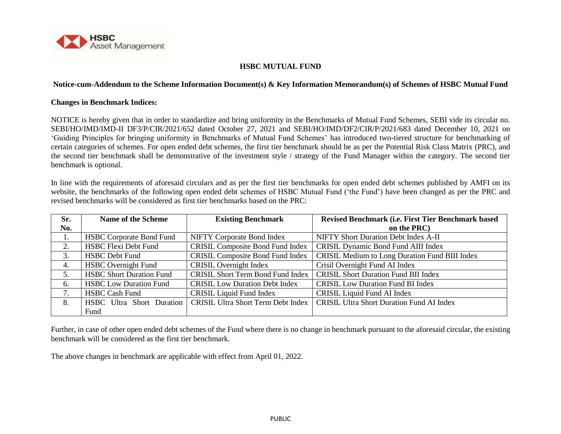

## **HSBC MUTUAL FUND**

## **Notice-cum-Addendum to the Scheme Information Document(s) & Key Information Memorandum(s) of Schemes of HSBC Mutual Fund**

## **Changes in Benchmark Indices:**

NOTICE is hereby given that in order to standardize and bring uniformity in the Benchmarks of Mutual Fund Schemes, SEBI vide its circular no. SEBI/HO/IMD/IMD-II DF3/P/CIR/2021/652 dated October 27, 2021 and SEBI/HO/IMD/DF2/CIR/P/2021/683 dated December 10, 2021 on 'Guiding Principles for bringing uniformity in Benchmarks of Mutual Fund Schemes' has introduced two-tiered structure for benchmarking of certain categories of schemes. For open ended debt schemes, the first tier benchmark should be as per the Potential Risk Class Matrix (PRC), and the second tier benchmark shall be demonstrative of the investment style / strategy of the Fund Manager within the category. The second tier benchmark is optional.

In line with the requirements of aforesaid circulars and as per the first tier benchmarks for open ended debt schemes published by AMFI on its website, the benchmarks of the following open ended debt schemes of HSBC Mutual Fund ('the Fund') have been changed as per the PRC and revised benchmarks will be considered as first tier benchmarks based on the PRC:

| Sr. | <b>Name of the Scheme</b>       | <b>Existing Benchmark</b>                 | Revised Benchmark (i.e. First Tier Benchmark based |
|-----|---------------------------------|-------------------------------------------|----------------------------------------------------|
| No. |                                 |                                           | on the PRC)                                        |
| 1.  | <b>HSBC Corporate Bond Fund</b> | <b>NIFTY Corporate Bond Index</b>         | NIFTY Short Duration Debt Index A-II               |
| 2.  | <b>HSBC Flexi Debt Fund</b>     | <b>CRISIL Composite Bond Fund Index</b>   | <b>CRISIL Dynamic Bond Fund AIII Index</b>         |
| 3.  | <b>HSBC</b> Debt Fund           | <b>CRISIL Composite Bond Fund Index</b>   | CRISIL Medium to Long Duration Fund BIII Index     |
| 4.  | <b>HSBC</b> Overnight Fund      | <b>CRISIL Overnight Index</b>             | Crisil Overnight Fund AI Index                     |
| 5.  | <b>HSBC Short Duration Fund</b> | <b>CRISIL Short Term Bond Fund Index</b>  | <b>CRISIL Short Duration Fund BII Index</b>        |
| 6.  | <b>HSBC Low Duration Fund</b>   | <b>CRISIL Low Duration Debt Index</b>     | <b>CRISIL Low Duration Fund BI Index</b>           |
| 7.  | <b>HSBC Cash Fund</b>           | <b>CRISIL Liquid Fund Index</b>           | CRISIL Liquid Fund AI Index                        |
| 8.  | HSBC Ultra Short Duration       | <b>CRISIL Ultra Short Term Debt Index</b> | <b>CRISIL Ultra Short Duration Fund AI Index</b>   |
|     | Fund                            |                                           |                                                    |

Further, in case of other open ended debt schemes of the Fund where there is no change in benchmark pursuant to the aforesaid circular, the existing benchmark will be considered as the first tier benchmark.

The above changes in benchmark are applicable with effect from April 01, 2022.